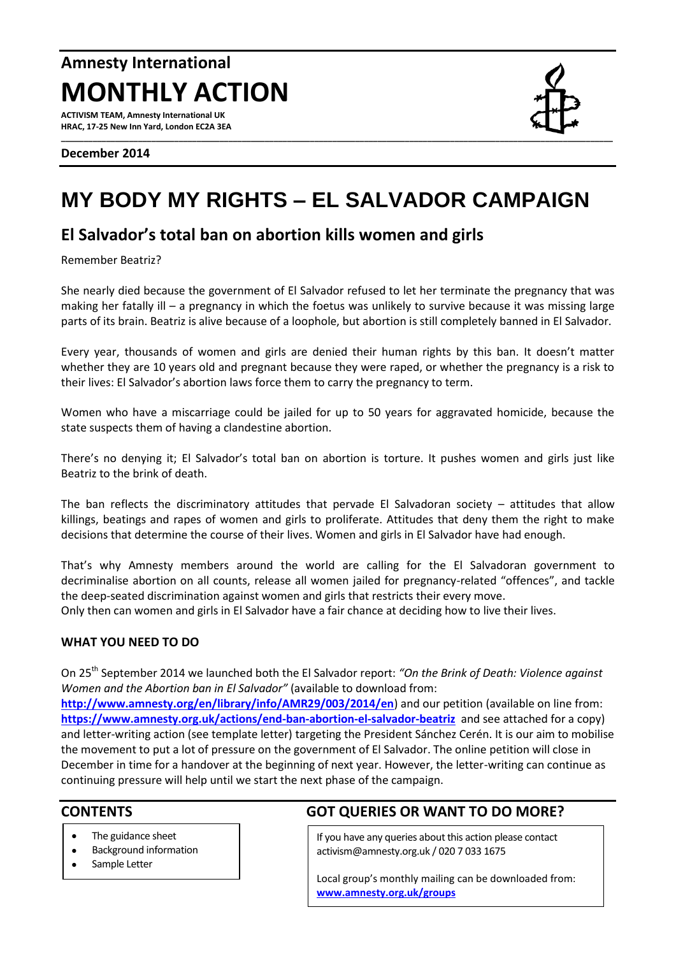# **Amnesty International MONTHLY ACTION**

**ACTIVISM TEAM, Amnesty International UK HRAC, 17-25 New Inn Yard, London EC2A 3EA**

# **MY BODY MY RIGHTS – EL SALVADOR CAMPAIGN**

# **El Salvador's total ban on abortion kills women and girls**

Remember Beatriz?

She nearly died because the government of El Salvador refused to let her terminate the pregnancy that was making her fatally ill – a pregnancy in which the foetus was unlikely to survive because it was missing large parts of its brain. Beatriz is alive because of a loophole, but abortion is still completely banned in El Salvador.

Every year, thousands of women and girls are denied their human rights by this ban. It doesn't matter whether they are 10 years old and pregnant because they were raped, or whether the pregnancy is a risk to their lives: El Salvador's abortion laws force them to carry the pregnancy to term.

Women who have a miscarriage could be jailed for up to 50 years for aggravated homicide, because the state suspects them of having a clandestine abortion.

There's no denying it; El Salvador's total ban on abortion is torture. It pushes women and girls just like Beatriz to the brink of death.

The ban reflects the discriminatory attitudes that pervade El Salvadoran society – attitudes that allow killings, beatings and rapes of women and girls to proliferate. Attitudes that deny them the right to make decisions that determine the course of their lives. Women and girls in El Salvador have had enough.

That's why Amnesty members around the world are calling for the El Salvadoran government to decriminalise abortion on all counts, release all women jailed for pregnancy-related "offences", and tackle the deep-seated discrimination against women and girls that restricts their every move.

Only then can women and girls in El Salvador have a fair chance at deciding how to live their lives.

#### **WHAT YOU NEED TO DO**

On 25th September 2014 we launched both the El Salvador report: *"On the Brink of Death: Violence against Women and the Abortion ban in El Salvador"* (available to download from:

**<http://www.amnesty.org/en/library/info/AMR29/003/2014/en>**) and our petition (available on line from: **<https://www.amnesty.org.uk/actions/end-ban-abortion-el-salvador-beatriz>** and see attached for a copy) and letter-writing action (see template letter) targeting the President Sánchez Cerén. It is our aim to mobilise the movement to put a lot of pressure on the government of El Salvador. The online petition will close in December in time for a handover at the beginning of next year. However, the letter-writing can continue as continuing pressure will help until we start the next phase of the campaign.

- The guidance sheet
- Background information
- Sample Letter

## **CONTENTS GOT QUERIES OR WANT TO DO MORE?**

If you have any queries about this action please contact activism@amnesty.org.uk / 020 7 033 1675

Local group's monthly mailing can be downloaded from: **[www.amnesty.org.uk/groups](http://www.amnesty.org.uk/groups)**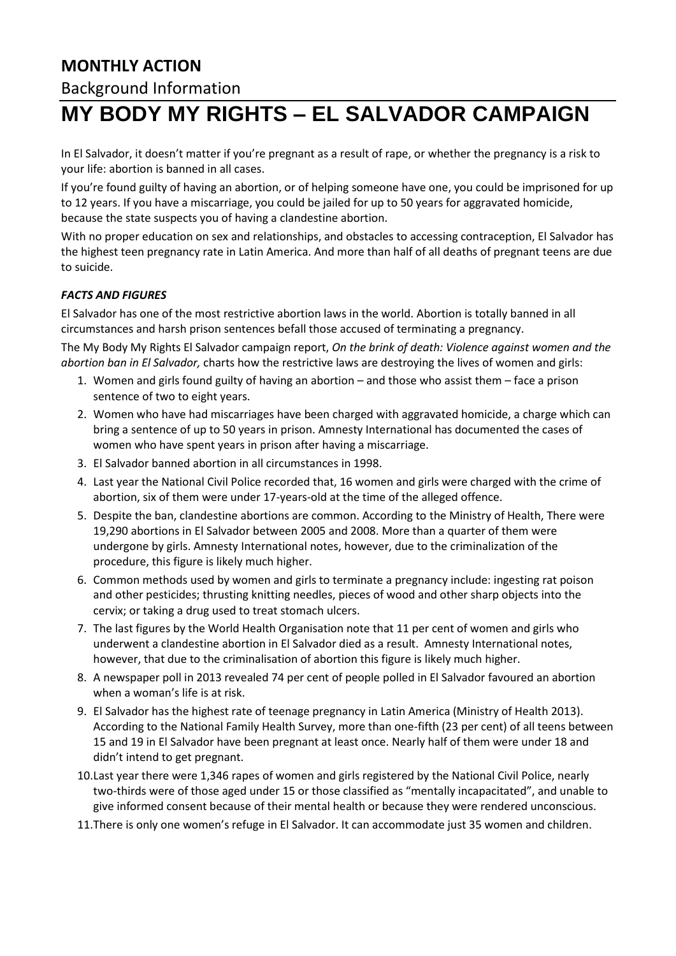# **MONTHLY ACTION**

## Background Information

# **MY BODY MY RIGHTS – EL SALVADOR CAMPAIGN**

In El Salvador, it doesn't matter if you're pregnant as a result of rape, or whether the pregnancy is a risk to your life: abortion is banned in all cases.

If you're found guilty of having an abortion, or of helping someone have one, you could be imprisoned for up to 12 years. If you have a miscarriage, you could be jailed for up to 50 years for aggravated homicide, because the state suspects you of having a clandestine abortion.

With no proper education on sex and relationships, and obstacles to accessing contraception, El Salvador has the highest teen pregnancy rate in Latin America. And more than half of all deaths of pregnant teens are due to suicide.

#### *FACTS AND FIGURES*

El Salvador has one of the most restrictive abortion laws in the world. Abortion is totally banned in all circumstances and harsh prison sentences befall those accused of terminating a pregnancy.

The My Body My Rights El Salvador campaign report, *On the brink of death: Violence against women and the abortion ban in El Salvador,* charts how the restrictive laws are destroying the lives of women and girls:

- 1. Women and girls found guilty of having an abortion and those who assist them face a prison sentence of two to eight years.
- 2. Women who have had miscarriages have been charged with aggravated homicide, a charge which can bring a sentence of up to 50 years in prison. Amnesty International has documented the cases of women who have spent years in prison after having a miscarriage.
- 3. El Salvador banned abortion in all circumstances in 1998.
- 4. Last year the National Civil Police recorded that, 16 women and girls were charged with the crime of abortion, six of them were under 17-years-old at the time of the alleged offence.
- 5. Despite the ban, clandestine abortions are common. According to the Ministry of Health, There were 19,290 abortions in El Salvador between 2005 and 2008. More than a quarter of them were undergone by girls. Amnesty International notes, however, due to the criminalization of the procedure, this figure is likely much higher.
- 6. Common methods used by women and girls to terminate a pregnancy include: ingesting rat poison and other pesticides; thrusting knitting needles, pieces of wood and other sharp objects into the cervix; or taking a drug used to treat stomach ulcers.
- 7. The last figures by the World Health Organisation note that 11 per cent of women and girls who underwent a clandestine abortion in El Salvador died as a result. Amnesty International notes, however, that due to the criminalisation of abortion this figure is likely much higher.
- 8. A newspaper poll in 2013 revealed 74 per cent of people polled in El Salvador favoured an abortion when a woman's life is at risk.
- 9. El Salvador has the highest rate of teenage pregnancy in Latin America (Ministry of Health 2013). According to the National Family Health Survey, more than one-fifth (23 per cent) of all teens between 15 and 19 in El Salvador have been pregnant at least once. Nearly half of them were under 18 and didn't intend to get pregnant.
- 10.Last year there were 1,346 rapes of women and girls registered by the National Civil Police, nearly two-thirds were of those aged under 15 or those classified as "mentally incapacitated", and unable to give informed consent because of their mental health or because they were rendered unconscious.
- 11.There is only one women's refuge in El Salvador. It can accommodate just 35 women and children.